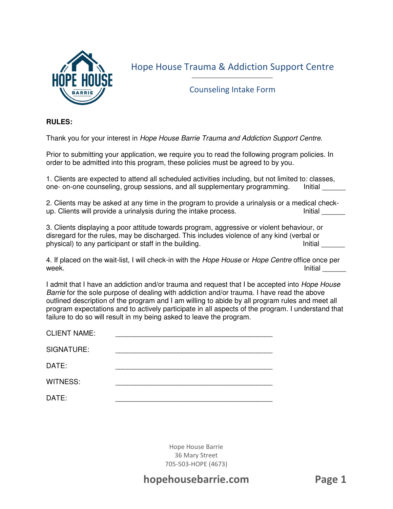

Hope House Trauma & Addiction Support Centre

Counseling Intake Form

#### **RULES:**

Thank you for your interest in Hope House Barrie Trauma and Addiction Support Centre.

Prior to submitting your application, we require you to read the following program policies. In order to be admitted into this program, these policies must be agreed to by you.

1. Clients are expected to attend all scheduled activities including, but not limited to: classes, one- on-one counseling, group sessions, and all supplementary programming. Initial

2. Clients may be asked at any time in the program to provide a urinalysis or a medical checkup. Clients will provide a urinalysis during the intake process. The same of the lnitial up. Clients will provide a urinalysis during the intake process.

3. Clients displaying a poor attitude towards program, aggressive or violent behaviour, or disregard for the rules, may be discharged. This includes violence of any kind (verbal or physical) to any participant or staff in the building. Initial limitial contains the limitial contains the limitial

4. If placed on the wait-list, I will check-in with the Hope House or Hope Centre office once per week. Initial \_\_\_\_\_\_

I admit that I have an addiction and/or trauma and request that I be accepted into *Hope House* Barrie for the sole purpose of dealing with addiction and/or trauma. I have read the above outlined description of the program and I am willing to abide by all program rules and meet all program expectations and to actively participate in all aspects of the program. I understand that failure to do so will result in my being asked to leave the program.

| <b>CLIENT NAME:</b> |  |
|---------------------|--|
| SIGNATURE:          |  |
| DATE:               |  |
| WITNESS:            |  |
| DATE:               |  |

Hope House Barrie 36 Mary Street 705-503-HOPE (4673)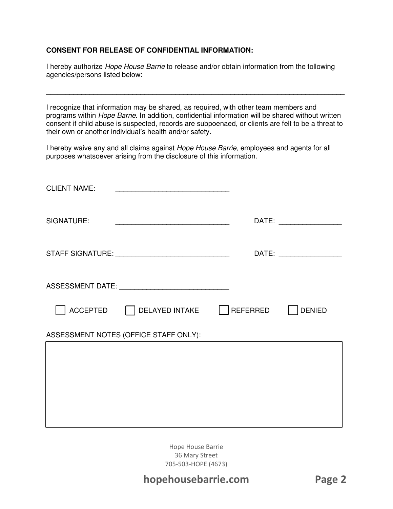### **CONSENT FOR RELEASE OF CONFIDENTIAL INFORMATION:**

I hereby authorize Hope House Barrie to release and/or obtain information from the following agencies/persons listed below:

I recognize that information may be shared, as required, with other team members and programs within Hope Barrie. In addition, confidential information will be shared without written consent if child abuse is suspected, records are subpoenaed, or clients are felt to be a threat to their own or another individual's health and/or safety.

\_\_\_\_\_\_\_\_\_\_\_\_\_\_\_\_\_\_\_\_\_\_\_\_\_\_\_\_\_\_\_\_\_\_\_\_\_\_\_\_\_\_\_\_\_\_\_\_\_\_\_\_\_\_\_\_\_\_\_\_\_\_\_\_\_\_\_\_\_\_\_\_\_\_\_\_

I hereby waive any and all claims against Hope House Barrie, employees and agents for all purposes whatsoever arising from the disclosure of this information.

| <b>CLIENT NAME:</b> | <u> 1989 - Johann Barbara, martxa alemaniar a</u>                                                                     |                          |
|---------------------|-----------------------------------------------------------------------------------------------------------------------|--------------------------|
| SIGNATURE:          | <u> 1989 - Johann John Stone, markin film yn y brening yn y brening yn y brening yn y brening yn y brening yn y b</u> | DATE: __________________ |
|                     |                                                                                                                       | DATE: __________________ |
|                     |                                                                                                                       |                          |
|                     | ACCEPTED DELAYED INTAKE   REFERRED   DENIED                                                                           |                          |
|                     | ASSESSMENT NOTES (OFFICE STAFF ONLY):                                                                                 |                          |
|                     |                                                                                                                       |                          |
|                     |                                                                                                                       |                          |
|                     |                                                                                                                       |                          |

Hope House Barrie 36 Mary Street 705-503-HOPE (4673)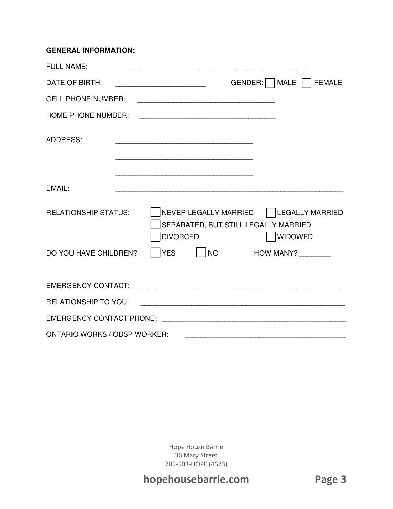#### **GENERAL INFORMATION:**

| DATE OF BIRTH:                      | GENDER: MALE FEMALE                                                                                           |
|-------------------------------------|---------------------------------------------------------------------------------------------------------------|
| <b>CELL PHONE NUMBER:</b>           |                                                                                                               |
| <b>HOME PHONE NUMBER:</b>           |                                                                                                               |
| <b>ADDRESS:</b>                     |                                                                                                               |
|                                     |                                                                                                               |
| EMAIL:                              |                                                                                                               |
| <b>RELATIONSHIP STATUS:</b>         | NEVER LEGALLY MARRIED   LEGALLY MARRIED<br>SEPARATED, BUT STILL LEGALLY MARRIED<br><b>DIVORCED</b><br>WIDOWED |
| DO YOU HAVE CHILDREN?               | <b>YES</b><br>$\vert$ $\vert$ NO<br><b>HOW MANY?</b> ________                                                 |
|                                     |                                                                                                               |
|                                     |                                                                                                               |
|                                     |                                                                                                               |
| <b>ONTARIO WORKS / ODSP WORKER:</b> |                                                                                                               |

Hope House Barrie 36 Mary Street 705-503-HOPE (4673)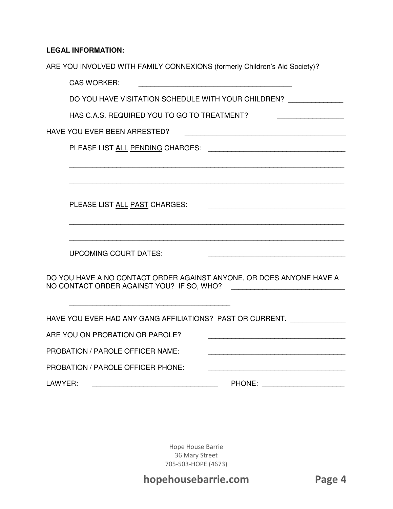## **LEGAL INFORMATION:**

| ARE YOU INVOLVED WITH FAMILY CONNEXIONS (formerly Children's Aid Society)? |
|----------------------------------------------------------------------------|
| <b>CAS WORKER:</b>                                                         |
| DO YOU HAVE VISITATION SCHEDULE WITH YOUR CHILDREN? _____________          |
| HAS C.A.S. REQUIRED YOU TO GO TO TREATMENT?                                |
| HAVE YOU EVER BEEN ARRESTED?                                               |
|                                                                            |
|                                                                            |
|                                                                            |
|                                                                            |
| PLEASE LIST ALL PAST CHARGES:                                              |
|                                                                            |
| <b>UPCOMING COURT DATES:</b>                                               |
| DO YOU HAVE A NO CONTACT ORDER AGAINST ANYONE, OR DOES ANYONE HAVE A       |
| HAVE YOU EVER HAD ANY GANG AFFILIATIONS? PAST OR CURRENT. ______________   |
| ARE YOU ON PROBATION OR PAROLE?                                            |
| PROBATION / PAROLE OFFICER NAME:                                           |
| <b>PROBATION / PAROLE OFFICER PHONE:</b>                                   |
| LAWYER:<br>PHONE: _________________________                                |

Hope House Barrie 36 Mary Street 705-503-HOPE (4673)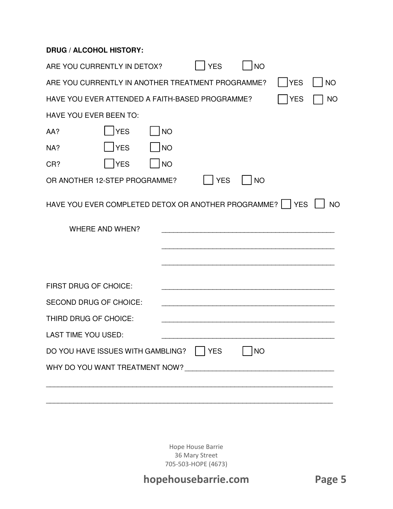### **DRUG / ALCOHOL HISTORY:**

| ARE YOU CURRENTLY IN DETOX?                                                         |           | <b>YES</b> | <b>NO</b> |            |           |
|-------------------------------------------------------------------------------------|-----------|------------|-----------|------------|-----------|
| ARE YOU CURRENTLY IN ANOTHER TREATMENT PROGRAMME?                                   |           |            |           | <b>YES</b> | <b>NO</b> |
| HAVE YOU EVER ATTENDED A FAITH-BASED PROGRAMME?                                     |           |            |           | <b>YES</b> | <b>NO</b> |
| <b>HAVE YOU EVER BEEN TO:</b>                                                       |           |            |           |            |           |
| <b>YES</b><br>AA?                                                                   | <b>NO</b> |            |           |            |           |
| YES<br>NA?                                                                          | NO        |            |           |            |           |
| <b>YES</b><br>CR?                                                                   | <b>NO</b> |            |           |            |           |
| OR ANOTHER 12-STEP PROGRAMME?                                                       |           | <b>YES</b> | <b>NO</b> |            |           |
| HAVE YOU EVER COMPLETED DETOX OR ANOTHER PROGRAMME?   YES<br><b>WHERE AND WHEN?</b> |           |            |           |            | <b>NO</b> |
| <b>FIRST DRUG OF CHOICE:</b>                                                        |           |            |           |            |           |
| <b>SECOND DRUG OF CHOICE:</b>                                                       |           |            |           |            |           |
| THIRD DRUG OF CHOICE:                                                               |           |            |           |            |           |
| <b>LAST TIME YOU USED:</b>                                                          |           |            |           |            |           |
| DO YOU HAVE ISSUES WITH GAMBLING?   YES                                             |           |            | <b>NO</b> |            |           |
|                                                                                     |           |            |           |            |           |
|                                                                                     |           |            |           |            |           |

Hope House Barrie 36 Mary Street 705-503-HOPE (4673)

\_\_\_\_\_\_\_\_\_\_\_\_\_\_\_\_\_\_\_\_\_\_\_\_\_\_\_\_\_\_\_\_\_\_\_\_\_\_\_\_\_\_\_\_\_\_\_\_\_\_\_\_\_\_\_\_\_\_\_\_\_\_\_\_\_\_\_\_\_\_\_\_\_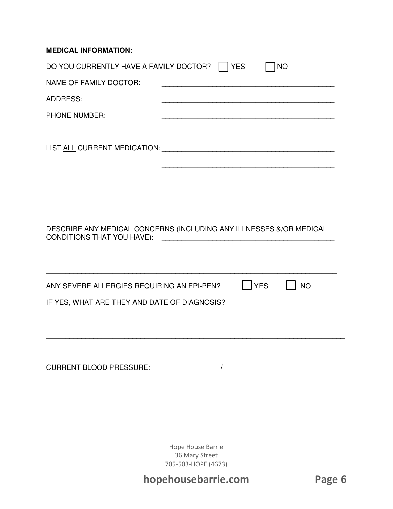### **MEDICAL INFORMATION:**

| DO YOU CURRENTLY HAVE A FAMILY DOCTOR?<br>NAME OF FAMILY DOCTOR:<br><b>ADDRESS:</b><br><b>PHONE NUMBER:</b> | $ $ $ $ YES | <b>NO</b> |
|-------------------------------------------------------------------------------------------------------------|-------------|-----------|
|                                                                                                             |             |           |
| DESCRIBE ANY MEDICAL CONCERNS (INCLUDING ANY ILLNESSES &/OR MEDICAL<br><b>CONDITIONS THAT YOU HAVE):</b>    |             |           |
| ANY SEVERE ALLERGIES REQUIRING AN EPI-PEN?<br>IF YES, WHAT ARE THEY AND DATE OF DIAGNOSIS?                  | YES         | <b>NO</b> |
| CURRENT BLOOD PRESSURE:                                                                                     |             |           |

Hope House Barrie 36 Mary Street 705-503-HOPE (4673)